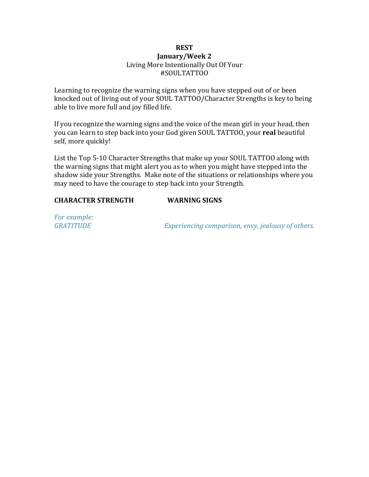## **REST January/Week 2** Living More Intentionally Out Of Your #SOULTATTOO

Learning to recognize the warning signs when you have stepped out of or been knocked out of living out of your SOUL TATTOO/Character Strengths is key to being able to live more full and joy filled life.

If you recognize the warning signs and the voice of the mean girl in your head, then you can learn to step back into your God given SOUL TATTOO, your **real** beautiful self, more quickly!

List the Top 5-10 Character Strengths that make up your SOUL TATTOO along with the warning signs that might alert you as to when you might have stepped into the shadow side your Strengths. Make note of the situations or relationships where you may need to have the courage to step back into your Strength.

## **CHARACTER STRENGTH WARNING SIGNS**

For example:

*GRATITUDE* Experiencing comparison, envy, jealousy of others.